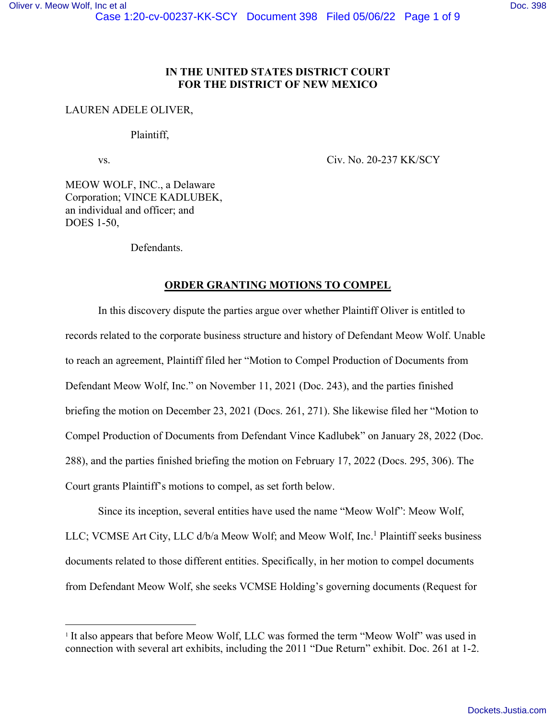## **IN THE UNITED STATES DISTRICT COURT FOR THE DISTRICT OF NEW MEXICO**

## LAUREN ADELE OLIVER,

#### Plaintiff,

vs. Civ. No. 20-237 KK/SCY

MEOW WOLF, INC., a Delaware Corporation; VINCE KADLUBEK, an individual and officer; and DOES 1-50,

Defendants.

## **ORDER GRANTING MOTIONS TO COMPEL**

 In this discovery dispute the parties argue over whether Plaintiff Oliver is entitled to records related to the corporate business structure and history of Defendant Meow Wolf. Unable to reach an agreement, Plaintiff filed her "Motion to Compel Production of Documents from Defendant Meow Wolf, Inc." on November 11, 2021 (Doc. 243), and the parties finished briefing the motion on December 23, 2021 (Docs. 261, 271). She likewise filed her "Motion to Compel Production of Documents from Defendant Vince Kadlubek" on January 28, 2022 (Doc. 288), and the parties finished briefing the motion on February 17, 2022 (Docs. 295, 306). The Court grants Plaintiff's motions to compel, as set forth below.

Since its inception, several entities have used the name "Meow Wolf": Meow Wolf, LLC; VCMSE Art City, LLC d/b/a Meow Wolf; and Meow Wolf, Inc.<sup>1</sup> Plaintiff seeks business documents related to those different entities. Specifically, in her motion to compel documents from Defendant Meow Wolf, she seeks VCMSE Holding's governing documents (Request for

<sup>&</sup>lt;sup>1</sup> It also appears that before Meow Wolf, LLC was formed the term "Meow Wolf" was used in connection with several art exhibits, including the 2011 "Due Return" exhibit. Doc. 261 at 1-2.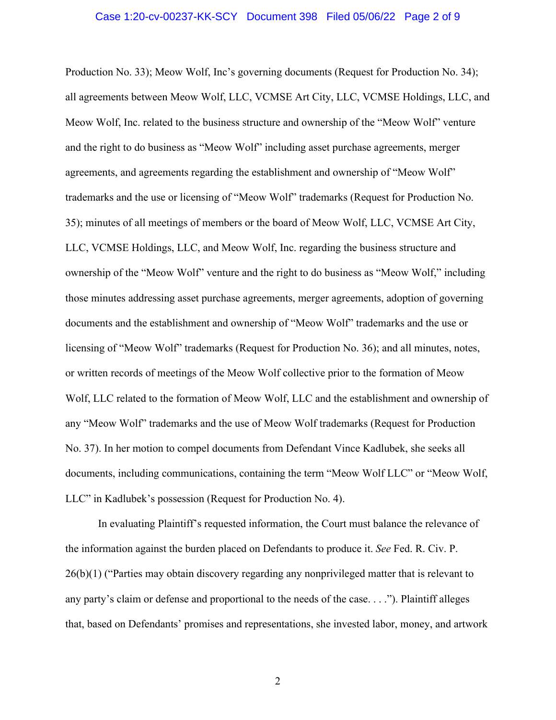Production No. 33); Meow Wolf, Inc's governing documents (Request for Production No. 34); all agreements between Meow Wolf, LLC, VCMSE Art City, LLC, VCMSE Holdings, LLC, and Meow Wolf, Inc. related to the business structure and ownership of the "Meow Wolf" venture and the right to do business as "Meow Wolf" including asset purchase agreements, merger agreements, and agreements regarding the establishment and ownership of "Meow Wolf" trademarks and the use or licensing of "Meow Wolf" trademarks (Request for Production No. 35); minutes of all meetings of members or the board of Meow Wolf, LLC, VCMSE Art City, LLC, VCMSE Holdings, LLC, and Meow Wolf, Inc. regarding the business structure and ownership of the "Meow Wolf" venture and the right to do business as "Meow Wolf," including those minutes addressing asset purchase agreements, merger agreements, adoption of governing documents and the establishment and ownership of "Meow Wolf" trademarks and the use or licensing of "Meow Wolf" trademarks (Request for Production No. 36); and all minutes, notes, or written records of meetings of the Meow Wolf collective prior to the formation of Meow Wolf, LLC related to the formation of Meow Wolf, LLC and the establishment and ownership of any "Meow Wolf" trademarks and the use of Meow Wolf trademarks (Request for Production No. 37). In her motion to compel documents from Defendant Vince Kadlubek, she seeks all documents, including communications, containing the term "Meow Wolf LLC" or "Meow Wolf, LLC" in Kadlubek's possession (Request for Production No. 4).

In evaluating Plaintiff's requested information, the Court must balance the relevance of the information against the burden placed on Defendants to produce it. *See* Fed. R. Civ. P. 26(b)(1) ("Parties may obtain discovery regarding any nonprivileged matter that is relevant to any party's claim or defense and proportional to the needs of the case. . . ."). Plaintiff alleges that, based on Defendants' promises and representations, she invested labor, money, and artwork

2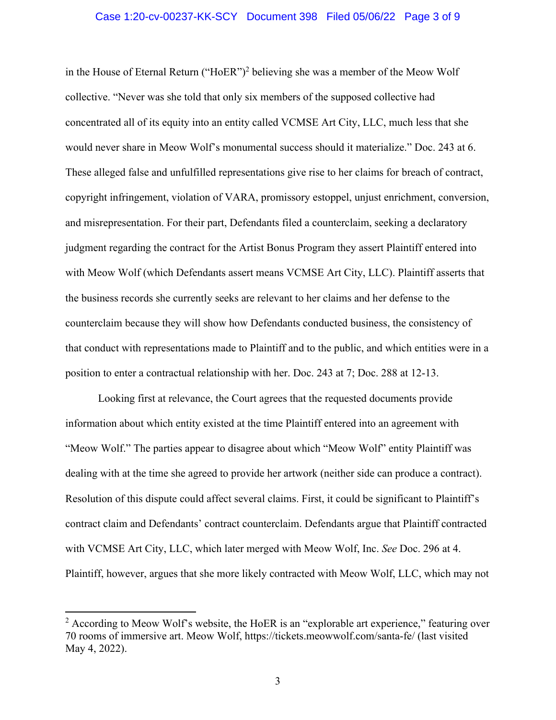in the House of Eternal Return ("HoER")<sup>2</sup> believing she was a member of the Meow Wolf collective. "Never was she told that only six members of the supposed collective had concentrated all of its equity into an entity called VCMSE Art City, LLC, much less that she would never share in Meow Wolf's monumental success should it materialize." Doc. 243 at 6. These alleged false and unfulfilled representations give rise to her claims for breach of contract, copyright infringement, violation of VARA, promissory estoppel, unjust enrichment, conversion, and misrepresentation. For their part, Defendants filed a counterclaim, seeking a declaratory judgment regarding the contract for the Artist Bonus Program they assert Plaintiff entered into with Meow Wolf (which Defendants assert means VCMSE Art City, LLC). Plaintiff asserts that the business records she currently seeks are relevant to her claims and her defense to the counterclaim because they will show how Defendants conducted business, the consistency of that conduct with representations made to Plaintiff and to the public, and which entities were in a position to enter a contractual relationship with her. Doc. 243 at 7; Doc. 288 at 12-13.

Looking first at relevance, the Court agrees that the requested documents provide information about which entity existed at the time Plaintiff entered into an agreement with "Meow Wolf." The parties appear to disagree about which "Meow Wolf" entity Plaintiff was dealing with at the time she agreed to provide her artwork (neither side can produce a contract). Resolution of this dispute could affect several claims. First, it could be significant to Plaintiff's contract claim and Defendants' contract counterclaim. Defendants argue that Plaintiff contracted with VCMSE Art City, LLC, which later merged with Meow Wolf, Inc. *See* Doc. 296 at 4. Plaintiff, however, argues that she more likely contracted with Meow Wolf, LLC, which may not

<sup>&</sup>lt;sup>2</sup> According to Meow Wolf's website, the HoER is an "explorable art experience," featuring over 70 rooms of immersive art. Meow Wolf, https://tickets.meowwolf.com/santa-fe/ (last visited May 4, 2022).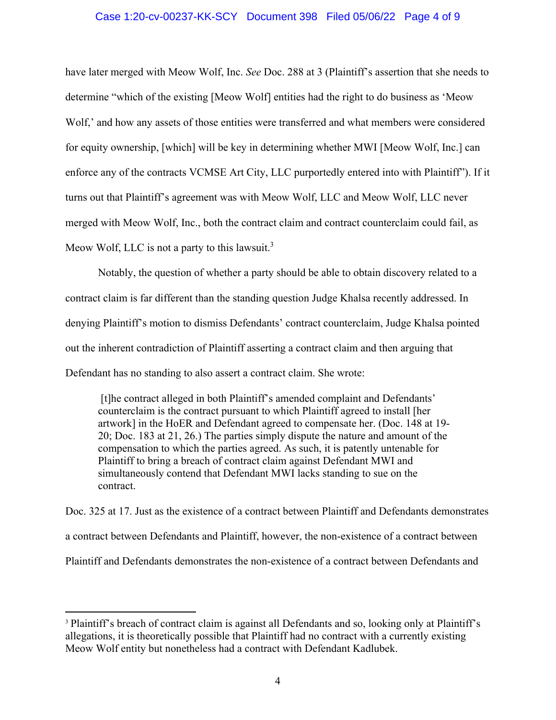## Case 1:20-cv-00237-KK-SCY Document 398 Filed 05/06/22 Page 4 of 9

have later merged with Meow Wolf, Inc. *See* Doc. 288 at 3 (Plaintiff's assertion that she needs to determine "which of the existing [Meow Wolf] entities had the right to do business as 'Meow Wolf,' and how any assets of those entities were transferred and what members were considered for equity ownership, [which] will be key in determining whether MWI [Meow Wolf, Inc.] can enforce any of the contracts VCMSE Art City, LLC purportedly entered into with Plaintiff"). If it turns out that Plaintiff's agreement was with Meow Wolf, LLC and Meow Wolf, LLC never merged with Meow Wolf, Inc., both the contract claim and contract counterclaim could fail, as Meow Wolf, LLC is not a party to this lawsuit.<sup>3</sup>

Notably, the question of whether a party should be able to obtain discovery related to a contract claim is far different than the standing question Judge Khalsa recently addressed. In denying Plaintiff's motion to dismiss Defendants' contract counterclaim, Judge Khalsa pointed out the inherent contradiction of Plaintiff asserting a contract claim and then arguing that Defendant has no standing to also assert a contract claim. She wrote:

 [t]he contract alleged in both Plaintiff's amended complaint and Defendants' counterclaim is the contract pursuant to which Plaintiff agreed to install [her artwork] in the HoER and Defendant agreed to compensate her. (Doc. 148 at 19- 20; Doc. 183 at 21, 26.) The parties simply dispute the nature and amount of the compensation to which the parties agreed. As such, it is patently untenable for Plaintiff to bring a breach of contract claim against Defendant MWI and simultaneously contend that Defendant MWI lacks standing to sue on the contract.

Doc. 325 at 17. Just as the existence of a contract between Plaintiff and Defendants demonstrates a contract between Defendants and Plaintiff, however, the non-existence of a contract between Plaintiff and Defendants demonstrates the non-existence of a contract between Defendants and

<sup>&</sup>lt;sup>3</sup> Plaintiff's breach of contract claim is against all Defendants and so, looking only at Plaintiff's allegations, it is theoretically possible that Plaintiff had no contract with a currently existing Meow Wolf entity but nonetheless had a contract with Defendant Kadlubek.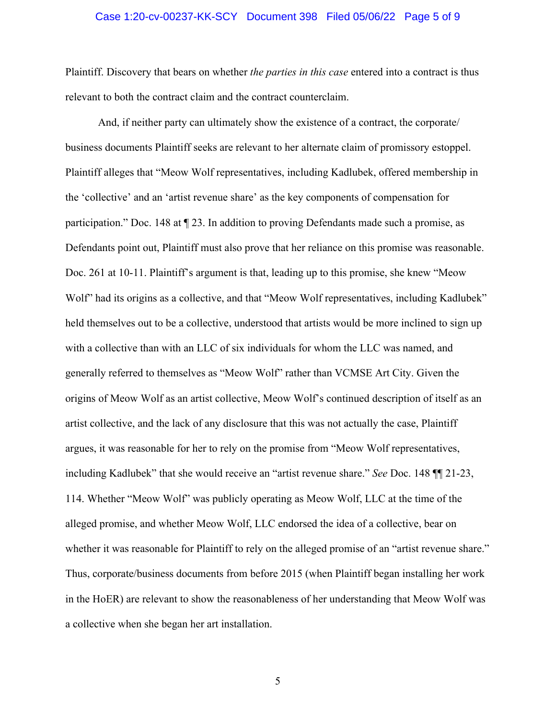#### Case 1:20-cv-00237-KK-SCY Document 398 Filed 05/06/22 Page 5 of 9

Plaintiff. Discovery that bears on whether *the parties in this case* entered into a contract is thus relevant to both the contract claim and the contract counterclaim.

 And, if neither party can ultimately show the existence of a contract, the corporate/ business documents Plaintiff seeks are relevant to her alternate claim of promissory estoppel. Plaintiff alleges that "Meow Wolf representatives, including Kadlubek, offered membership in the 'collective' and an 'artist revenue share' as the key components of compensation for participation." Doc. 148 at ¶ 23. In addition to proving Defendants made such a promise, as Defendants point out, Plaintiff must also prove that her reliance on this promise was reasonable. Doc. 261 at 10-11. Plaintiff's argument is that, leading up to this promise, she knew "Meow Wolf" had its origins as a collective, and that "Meow Wolf representatives, including Kadlubek" held themselves out to be a collective, understood that artists would be more inclined to sign up with a collective than with an LLC of six individuals for whom the LLC was named, and generally referred to themselves as "Meow Wolf" rather than VCMSE Art City. Given the origins of Meow Wolf as an artist collective, Meow Wolf's continued description of itself as an artist collective, and the lack of any disclosure that this was not actually the case, Plaintiff argues, it was reasonable for her to rely on the promise from "Meow Wolf representatives, including Kadlubek" that she would receive an "artist revenue share." *See* Doc. 148 ¶¶ 21-23, 114. Whether "Meow Wolf" was publicly operating as Meow Wolf, LLC at the time of the alleged promise, and whether Meow Wolf, LLC endorsed the idea of a collective, bear on whether it was reasonable for Plaintiff to rely on the alleged promise of an "artist revenue share." Thus, corporate/business documents from before 2015 (when Plaintiff began installing her work in the HoER) are relevant to show the reasonableness of her understanding that Meow Wolf was a collective when she began her art installation.

5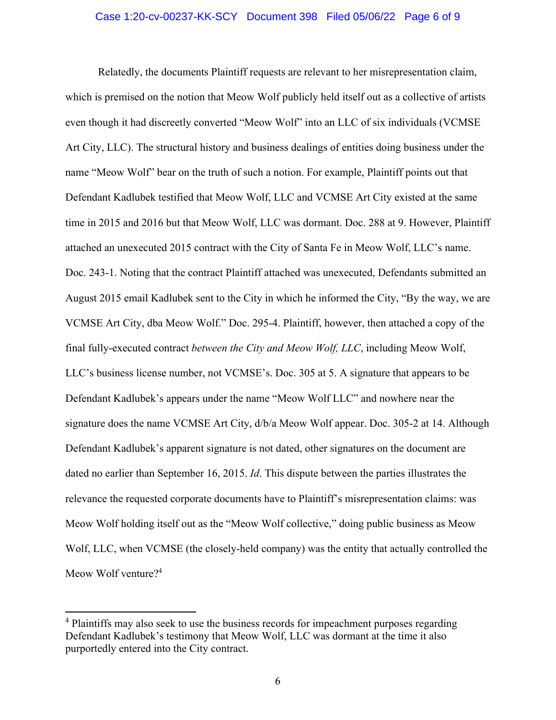#### Case 1:20-cv-00237-KK-SCY Document 398 Filed 05/06/22 Page 6 of 9

Relatedly, the documents Plaintiff requests are relevant to her misrepresentation claim, which is premised on the notion that Meow Wolf publicly held itself out as a collective of artists even though it had discreetly converted "Meow Wolf" into an LLC of six individuals (VCMSE Art City, LLC). The structural history and business dealings of entities doing business under the name "Meow Wolf" bear on the truth of such a notion. For example, Plaintiff points out that Defendant Kadlubek testified that Meow Wolf, LLC and VCMSE Art City existed at the same time in 2015 and 2016 but that Meow Wolf, LLC was dormant. Doc. 288 at 9. However, Plaintiff attached an unexecuted 2015 contract with the City of Santa Fe in Meow Wolf, LLC's name. Doc. 243-1. Noting that the contract Plaintiff attached was unexecuted, Defendants submitted an August 2015 email Kadlubek sent to the City in which he informed the City, "By the way, we are VCMSE Art City, dba Meow Wolf." Doc. 295-4. Plaintiff, however, then attached a copy of the final fully-executed contract *between the City and Meow Wolf, LLC*, including Meow Wolf, LLC's business license number, not VCMSE's. Doc. 305 at 5. A signature that appears to be Defendant Kadlubek's appears under the name "Meow Wolf LLC" and nowhere near the signature does the name VCMSE Art City, d/b/a Meow Wolf appear. Doc. 305-2 at 14. Although Defendant Kadlubek's apparent signature is not dated, other signatures on the document are dated no earlier than September 16, 2015. *Id*. This dispute between the parties illustrates the relevance the requested corporate documents have to Plaintiff's misrepresentation claims: was Meow Wolf holding itself out as the "Meow Wolf collective," doing public business as Meow Wolf, LLC, when VCMSE (the closely-held company) was the entity that actually controlled the Meow Wolf venture?<sup>4</sup>

<sup>&</sup>lt;sup>4</sup> Plaintiffs may also seek to use the business records for impeachment purposes regarding Defendant Kadlubek's testimony that Meow Wolf, LLC was dormant at the time it also purportedly entered into the City contract.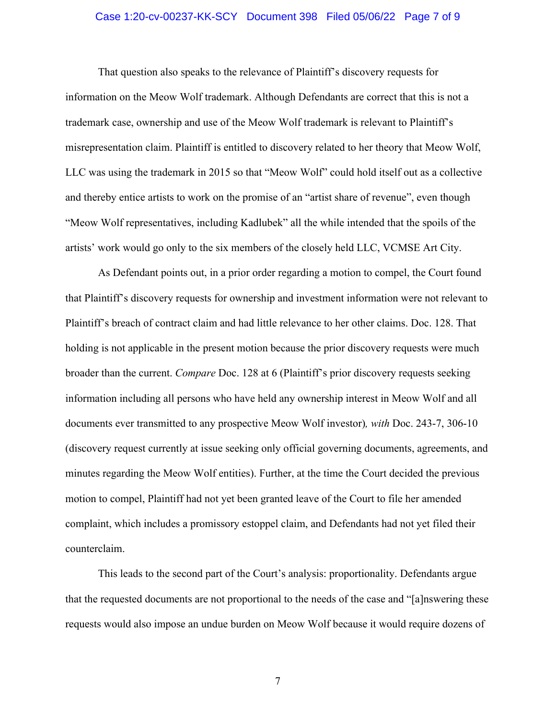#### Case 1:20-cv-00237-KK-SCY Document 398 Filed 05/06/22 Page 7 of 9

That question also speaks to the relevance of Plaintiff's discovery requests for information on the Meow Wolf trademark. Although Defendants are correct that this is not a trademark case, ownership and use of the Meow Wolf trademark is relevant to Plaintiff's misrepresentation claim. Plaintiff is entitled to discovery related to her theory that Meow Wolf, LLC was using the trademark in 2015 so that "Meow Wolf" could hold itself out as a collective and thereby entice artists to work on the promise of an "artist share of revenue", even though "Meow Wolf representatives, including Kadlubek" all the while intended that the spoils of the artists' work would go only to the six members of the closely held LLC, VCMSE Art City.

As Defendant points out, in a prior order regarding a motion to compel, the Court found that Plaintiff's discovery requests for ownership and investment information were not relevant to Plaintiff's breach of contract claim and had little relevance to her other claims. Doc. 128. That holding is not applicable in the present motion because the prior discovery requests were much broader than the current. *Compare* Doc. 128 at 6 (Plaintiff's prior discovery requests seeking information including all persons who have held any ownership interest in Meow Wolf and all documents ever transmitted to any prospective Meow Wolf investor)*, with* Doc. 243-7, 306-10 (discovery request currently at issue seeking only official governing documents, agreements, and minutes regarding the Meow Wolf entities). Further, at the time the Court decided the previous motion to compel, Plaintiff had not yet been granted leave of the Court to file her amended complaint, which includes a promissory estoppel claim, and Defendants had not yet filed their counterclaim.

This leads to the second part of the Court's analysis: proportionality. Defendants argue that the requested documents are not proportional to the needs of the case and "[a]nswering these requests would also impose an undue burden on Meow Wolf because it would require dozens of

7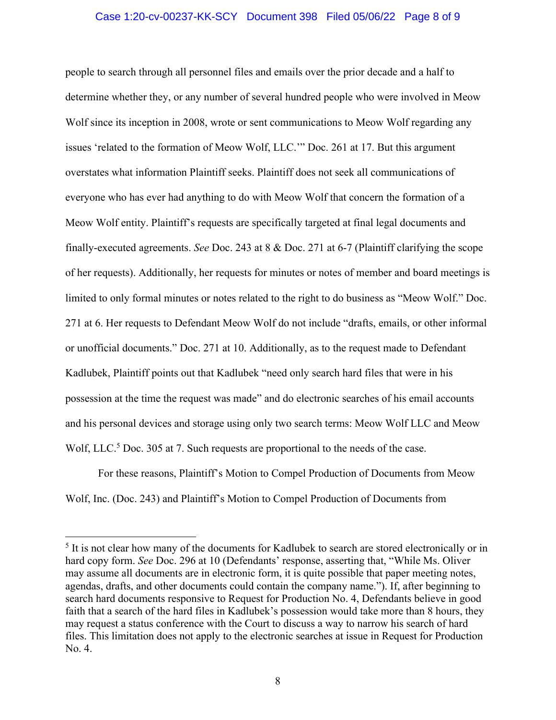## Case 1:20-cv-00237-KK-SCY Document 398 Filed 05/06/22 Page 8 of 9

people to search through all personnel files and emails over the prior decade and a half to determine whether they, or any number of several hundred people who were involved in Meow Wolf since its inception in 2008, wrote or sent communications to Meow Wolf regarding any issues 'related to the formation of Meow Wolf, LLC.'" Doc. 261 at 17. But this argument overstates what information Plaintiff seeks. Plaintiff does not seek all communications of everyone who has ever had anything to do with Meow Wolf that concern the formation of a Meow Wolf entity. Plaintiff's requests are specifically targeted at final legal documents and finally-executed agreements. *See* Doc. 243 at 8 & Doc. 271 at 6-7 (Plaintiff clarifying the scope of her requests). Additionally, her requests for minutes or notes of member and board meetings is limited to only formal minutes or notes related to the right to do business as "Meow Wolf." Doc. 271 at 6. Her requests to Defendant Meow Wolf do not include "drafts, emails, or other informal or unofficial documents." Doc. 271 at 10. Additionally, as to the request made to Defendant Kadlubek, Plaintiff points out that Kadlubek "need only search hard files that were in his possession at the time the request was made" and do electronic searches of his email accounts and his personal devices and storage using only two search terms: Meow Wolf LLC and Meow Wolf, LLC.<sup>5</sup> Doc. 305 at 7. Such requests are proportional to the needs of the case.

For these reasons, Plaintiff's Motion to Compel Production of Documents from Meow Wolf, Inc. (Doc. 243) and Plaintiff's Motion to Compel Production of Documents from

<sup>&</sup>lt;sup>5</sup> It is not clear how many of the documents for Kadlubek to search are stored electronically or in hard copy form. *See* Doc. 296 at 10 (Defendants' response, asserting that, "While Ms. Oliver may assume all documents are in electronic form, it is quite possible that paper meeting notes, agendas, drafts, and other documents could contain the company name."). If, after beginning to search hard documents responsive to Request for Production No. 4, Defendants believe in good faith that a search of the hard files in Kadlubek's possession would take more than 8 hours, they may request a status conference with the Court to discuss a way to narrow his search of hard files. This limitation does not apply to the electronic searches at issue in Request for Production No. 4.